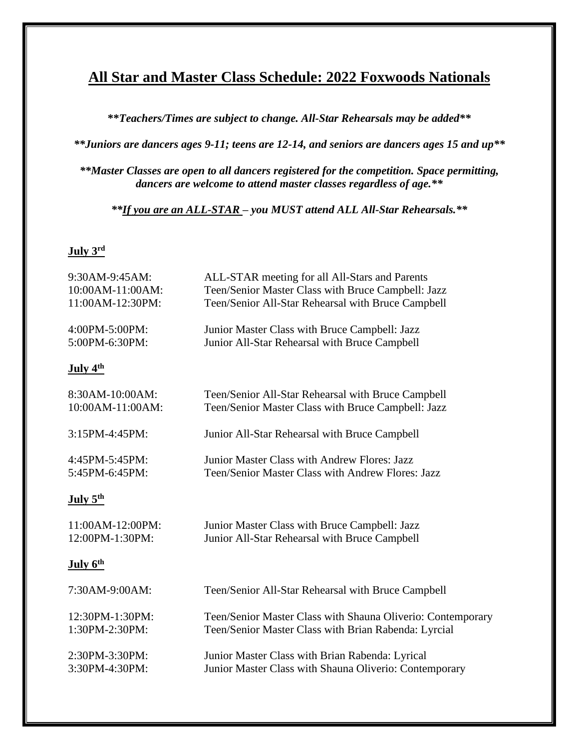## **All Star and Master Class Schedule: 2022 Foxwoods Nationals**

**\*\****Teachers/Times are subject to change. All-Star Rehearsals may be added\*\**

*\*\*Juniors are dancers ages 9-11; teens are 12-14, and seniors are dancers ages 15 and up\*\**

*\*\*Master Classes are open to all dancers registered for the competition. Space permitting, dancers are welcome to attend master classes regardless of age.\*\**

*\*\*If you are an ALL-STAR – you MUST attend ALL All-Star Rehearsals.\*\**

## **July 3 rd**

| 9:30AM-9:45AM:       | ALL-STAR meeting for all All-Stars and Parents              |
|----------------------|-------------------------------------------------------------|
| 10:00AM-11:00AM:     | Teen/Senior Master Class with Bruce Campbell: Jazz          |
| 11:00AM-12:30PM:     | Teen/Senior All-Star Rehearsal with Bruce Campbell          |
| 4:00PM-5:00PM:       | Junior Master Class with Bruce Campbell: Jazz               |
| 5:00PM-6:30PM:       | Junior All-Star Rehearsal with Bruce Campbell               |
| July 4 <sup>th</sup> |                                                             |
| 8:30AM-10:00AM:      | Teen/Senior All-Star Rehearsal with Bruce Campbell          |
| 10:00AM-11:00AM:     | Teen/Senior Master Class with Bruce Campbell: Jazz          |
| 3:15PM-4:45PM:       | Junior All-Star Rehearsal with Bruce Campbell               |
| 4:45PM-5:45PM:       | Junior Master Class with Andrew Flores: Jazz                |
| 5:45PM-6:45PM:       | Teen/Senior Master Class with Andrew Flores: Jazz           |
| July 5 <sup>th</sup> |                                                             |
| 11:00AM-12:00PM:     | Junior Master Class with Bruce Campbell: Jazz               |
| 12:00PM-1:30PM:      | Junior All-Star Rehearsal with Bruce Campbell               |
| July 6 <sup>th</sup> |                                                             |
| 7:30AM-9:00AM:       | Teen/Senior All-Star Rehearsal with Bruce Campbell          |
| 12:30PM-1:30PM:      | Teen/Senior Master Class with Shauna Oliverio: Contemporary |
| 1:30PM-2:30PM:       | Teen/Senior Master Class with Brian Rabenda: Lyrcial        |
| 2:30PM-3:30PM:       | Junior Master Class with Brian Rabenda: Lyrical             |
| 3:30PM-4:30PM:       | Junior Master Class with Shauna Oliverio: Contemporary      |